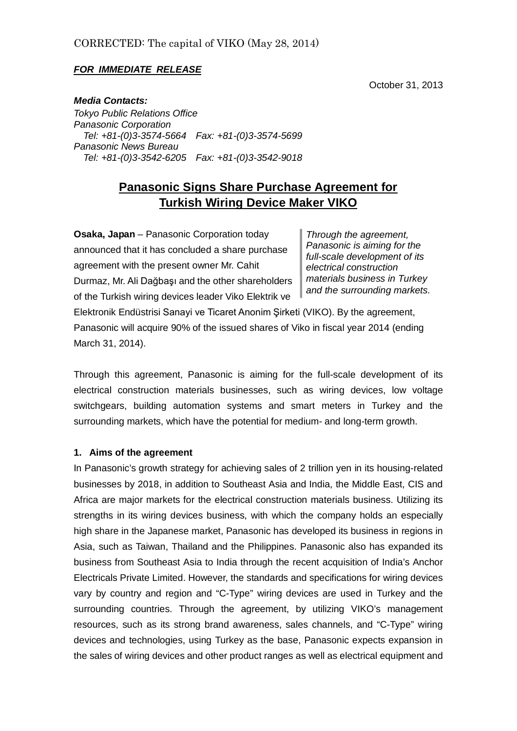### *FOR IMMEDIATE RELEASE*

October 31, 2013

*Media Contacts:*

*Tokyo Public Relations Office Panasonic Corporation Tel: +81-(0)3-3574-5664 Fax: +81-(0)3-3574-5699 Panasonic News Bureau Tel: +81-(0)3-3542-6205 Fax: +81-(0)3-3542-9018*

# **Panasonic Signs Share Purchase Agreement for Turkish Wiring Device Maker VIKO**

**Osaka, Japan** – Panasonic Corporation today announced that it has concluded a share purchase agreement with the present owner Mr. Cahit Durmaz, Mr. Ali Dağbaşı and the other shareholders of the Turkish wiring devices leader Viko Elektrik ve

*Through the agreement, Panasonic is aiming for the full-scale development of its electrical construction materials business in Turkey and the surrounding markets.*

Elektronik Endüstrisi Sanayi ve Ticaret Anonim Şirketi (VIKO). By the agreement, Panasonic will acquire 90% of the issued shares of Viko in fiscal year 2014 (ending March 31, 2014).

Through this agreement, Panasonic is aiming for the full-scale development of its electrical construction materials businesses, such as wiring devices, low voltage switchgears, building automation systems and smart meters in Turkey and the surrounding markets, which have the potential for medium- and long-term growth.

#### **1. Aims of the agreement**

In Panasonic's growth strategy for achieving sales of 2 trillion yen in its housing-related businesses by 2018, in addition to Southeast Asia and India, the Middle East, CIS and Africa are major markets for the electrical construction materials business. Utilizing its strengths in its wiring devices business, with which the company holds an especially high share in the Japanese market, Panasonic has developed its business in regions in Asia, such as Taiwan, Thailand and the Philippines. Panasonic also has expanded its business from Southeast Asia to India through the recent acquisition of India's Anchor Electricals Private Limited. However, the standards and specifications for wiring devices vary by country and region and "C-Type" wiring devices are used in Turkey and the surrounding countries. Through the agreement, by utilizing VIKO's management resources, such as its strong brand awareness, sales channels, and "C-Type" wiring devices and technologies, using Turkey as the base, Panasonic expects expansion in the sales of wiring devices and other product ranges as well as electrical equipment and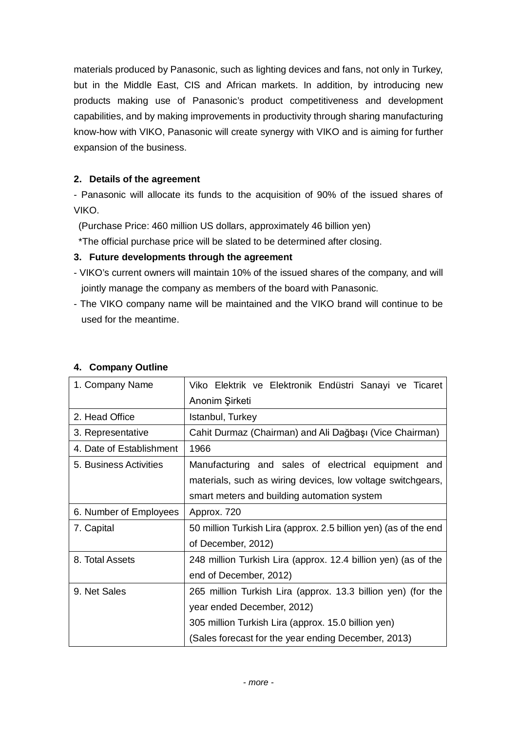materials produced by Panasonic, such as lighting devices and fans, not only in Turkey, but in the Middle East, CIS and African markets. In addition, by introducing new products making use of Panasonic's product competitiveness and development capabilities, and by making improvements in productivity through sharing manufacturing know-how with VIKO, Panasonic will create synergy with VIKO and is aiming for further expansion of the business.

# **2. Details of the agreement**

- Panasonic will allocate its funds to the acquisition of 90% of the issued shares of VIKO.

(Purchase Price: 460 million US dollars, approximately 46 billion yen)

\*The official purchase price will be slated to be determined after closing.

# **3. Future developments through the agreement**

- VIKO's current owners will maintain 10% of the issued shares of the company, and will jointly manage the company as members of the board with Panasonic.
- The VIKO company name will be maintained and the VIKO brand will continue to be used for the meantime.

| 1. Company Name          | Viko Elektrik ve Elektronik Endüstri Sanayi ve Ticaret           |
|--------------------------|------------------------------------------------------------------|
|                          | Anonim Şirketi                                                   |
| 2. Head Office           | Istanbul, Turkey                                                 |
| 3. Representative        | Cahit Durmaz (Chairman) and Ali Dağbaşı (Vice Chairman)          |
| 4. Date of Establishment | 1966                                                             |
| 5. Business Activities   | Manufacturing and sales of electrical equipment and              |
|                          | materials, such as wiring devices, low voltage switchgears,      |
|                          | smart meters and building automation system                      |
| 6. Number of Employees   | Approx. 720                                                      |
| 7. Capital               | 50 million Turkish Lira (approx. 2.5 billion yen) (as of the end |
|                          | of December, 2012)                                               |
| 8. Total Assets          | 248 million Turkish Lira (approx. 12.4 billion yen) (as of the   |
|                          | end of December, 2012)                                           |
| 9. Net Sales             | 265 million Turkish Lira (approx. 13.3 billion yen) (for the     |
|                          | year ended December, 2012)                                       |
|                          | 305 million Turkish Lira (approx. 15.0 billion yen)              |
|                          | (Sales forecast for the year ending December, 2013)              |

## **4. Company Outline**